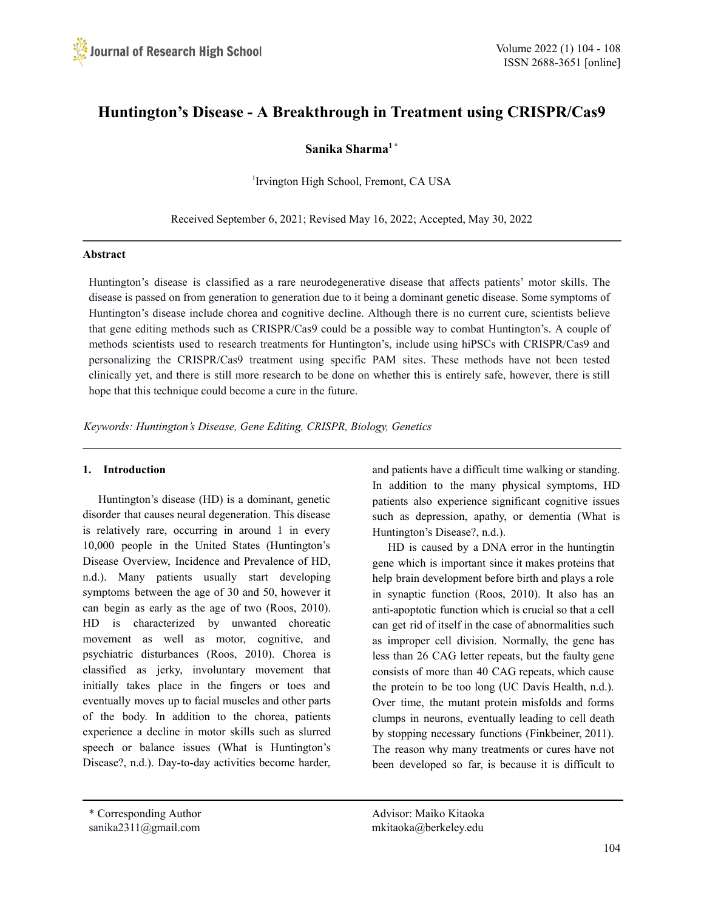

# **Huntington's Disease - A Breakthrough in Treatment using CRISPR/Cas9**

# **Sanika Sharma 1 \***

1 Irvington High School, Fremont, CA USA

Received September 6, 2021; Revised May 16, 2022; Accepted, May 30, 2022

#### **Abstract**

Huntington's disease is classified as a rare neurodegenerative disease that affects patients' motor skills. The disease is passed on from generation to generation due to it being a dominant genetic disease. Some symptoms of Huntington's disease include chorea and cognitive decline. Although there is no current cure, scientists believe that gene editing methods such as CRISPR/Cas9 could be a possible way to combat Huntington's. A couple of methods scientists used to research treatments for Huntington's, include using hiPSCs with CRISPR/Cas9 and personalizing the CRISPR/Cas9 treatment using specific PAM sites. These methods have not been tested clinically yet, and there is still more research to be done on whether this is entirely safe, however, there is still hope that this technique could become a cure in the future.

*Keywords: Huntington's Disease, Gene Editing, CRISPR, Biology, Genetics*

#### **1. Introduction**

Huntington's disease (HD) is a dominant, genetic disorder that causes neural degeneration. This disease is relatively rare, occurring in around 1 in every 10,000 people in the United States (Huntington's Disease Overview, Incidence and Prevalence of HD, n.d.). Many patients usually start developing symptoms between the age of 30 and 50, however it can begin as early as the age of two (Roos, 2010). HD is characterized by unwanted choreatic movement as well as motor, cognitive, and psychiatric disturbances (Roos, 2010). Chorea is classified as jerky, involuntary movement that initially takes place in the fingers or toes and eventually moves up to facial muscles and other parts of the body. In addition to the chorea, patients experience a decline in motor skills such as slurred speech or balance issues (What is Huntington's Disease?, n.d.). Day-to-day activities become harder,

and patients have a difficult time walking or standing. In addition to the many physical symptoms, HD patients also experience significant cognitive issues such as depression, apathy, or dementia (What is Huntington's Disease?, n.d.).

HD is caused by a DNA error in the huntingtin gene which is important since it makes proteins that help brain development before birth and plays a role in synaptic function (Roos, 2010). It also has an anti-apoptotic function which is crucial so that a cell can get rid of itself in the case of abnormalities such as improper cell division. Normally, the gene has less than 26 CAG letter repeats, but the faulty gene consists of more than 40 CAG repeats, which cause the protein to be too long (UC Davis Health, n.d.). Over time, the mutant protein misfolds and forms clumps in neurons, eventually leading to cell death by stopping necessary functions (Finkbeiner, 2011). The reason why many treatments or cures have not been developed so far, is because it is difficult to

\* Corresponding Author Advisor: Maiko Kitaoka sanika2311@gmail.com mkitaoka@berkeley.edu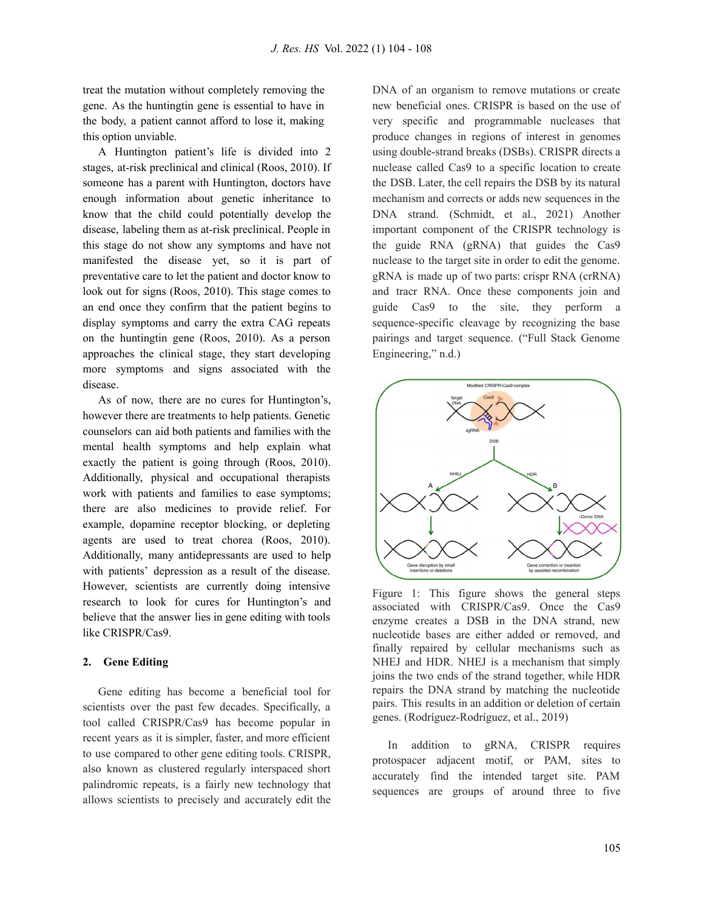treat the mutation without completely removing the gene. As the huntingtin gene is essential to have in the body, a patient cannot afford to lose it, making this option unviable.

A Huntington patient's life is divided into 2 stages, at-risk preclinical and clinical (Roos, 2010). If someone has a parent with Huntington, doctors have enough information about genetic inheritance to know that the child could potentially develop the disease, labeling them as at-risk preclinical. People in this stage do not show any symptoms and have not manifested the disease yet, so it is part of preventative care to let the patient and doctor know to look out for signs (Roos, 2010). This stage comes to an end once they confirm that the patient begins to display symptoms and carry the extra CAG repeats on the huntingtin gene (Roos, 2010). As a person approaches the clinical stage, they start developing more symptoms and signs associated with the disease.

As of now, there are no cures for Huntington's, however there are treatments to help patients. Genetic counselors can aid both patients and families with the mental health symptoms and help explain what exactly the patient is going through (Roos, 2010). Additionally, physical and occupational therapists work with patients and families to ease symptoms; there are also medicines to provide relief. For example, dopamine receptor blocking, or depleting agents are used to treat chorea (Roos, 2010). Additionally, many antidepressants are used to help with patients' depression as a result of the disease. However, scientists are currently doing intensive research to look for cures for Huntington's and believe that the answer lies in gene editing with tools like CRISPR/Cas9.

## **2. Gene Editing**

Gene editing has become a beneficial tool for scientists over the past few decades. Specifically, a tool called CRISPR/Cas9 has become popular in recent years as it is simpler, faster, and more efficient to use compared to other gene editing tools. CRISPR, also known as clustered regularly interspaced short palindromic repeats, is a fairly new technology that allows scientists to precisely and accurately edit the

DNA of an organism to remove mutations or create new beneficial ones. CRISPR is based on the use of very specific and programmable nucleases that produce changes in regions of interest in genomes using double-strand breaks (DSBs). CRISPR directs a nuclease called Cas9 to a specific location to create the DSB. Later, the cell repairs the DSB by its natural mechanism and corrects or adds new sequences in the DNA strand. (Schmidt, et al., 2021) Another important component of the CRISPR technology is the guide RNA (gRNA) that guides the Cas9 nuclease to the target site in order to edit the genome. gRNA is made up of two parts: crispr RNA (crRNA) and tracr RNA. Once these components join and guide Cas9 to the site, they perform a sequence-specific cleavage by recognizing the base pairings and target sequence. ("Full Stack Genome Engineering," n.d.)



Figure 1: This figure shows the general steps associated with CRISPR/Cas9. Once the Cas9 enzyme creates a DSB in the DNA strand, new nucleotide bases are either added or removed, and finally repaired by cellular mechanisms such as NHEJ and HDR. NHEJ is a mechanism that simply joins the two ends of the strand together, while HDR repairs the DNA strand by matching the nucleotide pairs. This results in an addition or deletion of certain genes. (Rodríguez-Rodríguez, et al., 2019)

In addition to gRNA, CRISPR requires protospacer adjacent motif, or PAM, sites to accurately find the intended target site. PAM sequences are groups of around three to five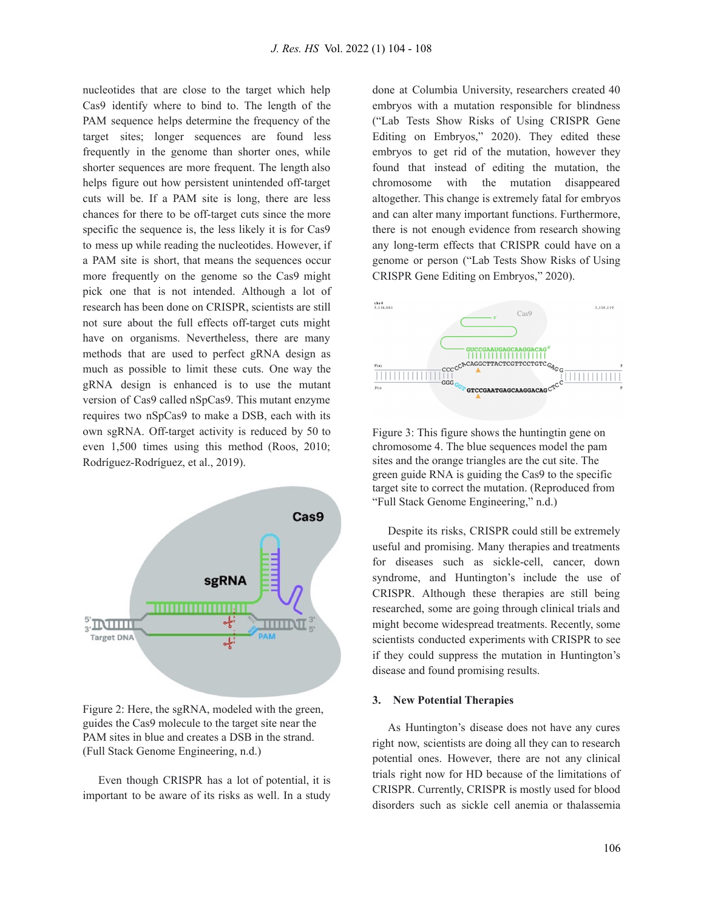nucleotides that are close to the target which help Cas9 identify where to bind to. The length of the PAM sequence helps determine the frequency of the target sites; longer sequences are found less frequently in the genome than shorter ones, while shorter sequences are more frequent. The length also helps figure out how persistent unintended off-target cuts will be. If a PAM site is long, there are less chances for there to be off-target cuts since the more specific the sequence is, the less likely it is for Cas9 to mess up while reading the nucleotides. However, if a PAM site is short, that means the sequences occur more frequently on the genome so the Cas9 might pick one that is not intended. Although a lot of research has been done on CRISPR, scientists are still not sure about the full effects off-target cuts might have on organisms. Nevertheless, there are many methods that are used to perfect gRNA design as much as possible to limit these cuts. One way the gRNA design is enhanced is to use the mutant version of Cas9 called nSpCas9. This mutant enzyme requires two nSpCas9 to make a DSB, each with its own sgRNA. Off-target activity is reduced by 50 to even 1,500 times using this method (Roos, 2010; Rodríguez-Rodríguez, et al., 2019).



Figure 2: Here, the sgRNA, modeled with the green, guides the Cas9 molecule to the target site near the PAM sites in blue and creates a DSB in the strand. (Full Stack Genome Engineering, n.d.)

Even though CRISPR has a lot of potential, it is important to be aware of its risks as well. In a study done at Columbia University, researchers created 40 embryos with a mutation responsible for blindness ("Lab Tests Show Risks of Using CRISPR Gene Editing on Embryos," 2020). They edited these embryos to get rid of the mutation, however they found that instead of editing the mutation, the chromosome with the mutation disappeared altogether. This change is extremely fatal for embryos and can alter many important functions. Furthermore, there is not enough evidence from research showing any long-term effects that CRISPR could have on a genome or person ("Lab Tests Show Risks of Using CRISPR Gene Editing on Embryos," 2020).



Figure 3: This figure shows the huntingtin gene on chromosome 4. The blue sequences model the pam sites and the orange triangles are the cut site. The green guide RNA is guiding the Cas9 to the specific target site to correct the mutation. (Reproduced from "Full Stack Genome Engineering," n.d.)

Despite its risks, CRISPR could still be extremely useful and promising. Many therapies and treatments for diseases such as sickle-cell, cancer, down syndrome, and Huntington's include the use of CRISPR. Although these therapies are still being researched, some are going through clinical trials and might become widespread treatments. Recently, some scientists conducted experiments with CRISPR to see if they could suppress the mutation in Huntington's disease and found promising results.

#### **3. New Potential Therapies**

As Huntington's disease does not have any cures right now, scientists are doing all they can to research potential ones. However, there are not any clinical trials right now for HD because of the limitations of CRISPR. Currently, CRISPR is mostly used for blood disorders such as sickle cell anemia or thalassemia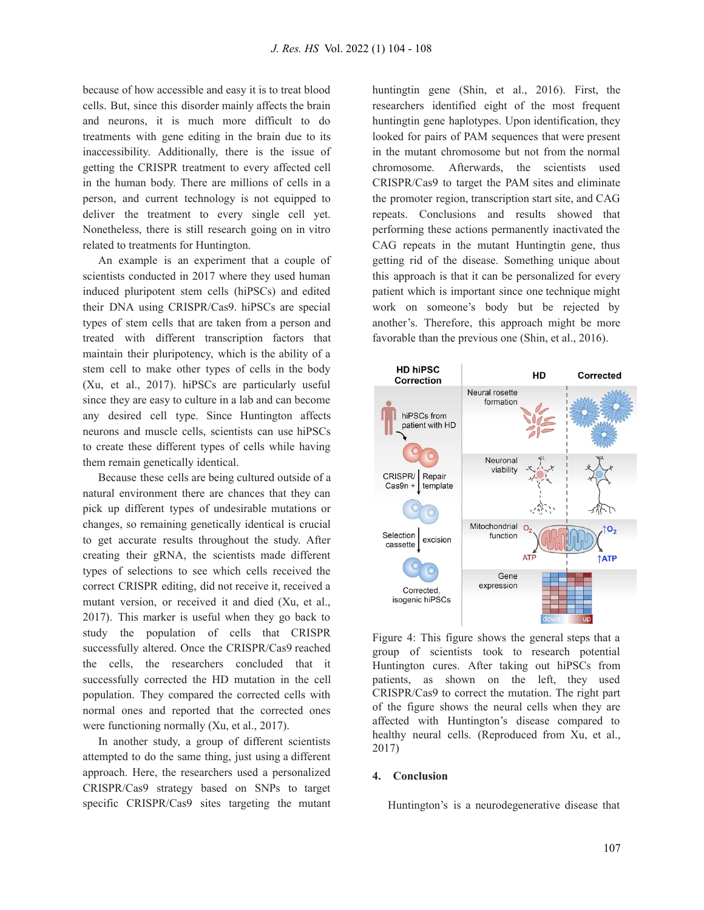because of how accessible and easy it is to treat blood cells. But, since this disorder mainly affects the brain and neurons, it is much more difficult to do treatments with gene editing in the brain due to its inaccessibility. Additionally, there is the issue of getting the CRISPR treatment to every affected cell in the human body. There are millions of cells in a person, and current technology is not equipped to deliver the treatment to every single cell yet. Nonetheless, there is still research going on in vitro related to treatments for Huntington.

An example is an experiment that a couple of scientists conducted in 2017 where they used human induced pluripotent stem cells (hiPSCs) and edited their DNA using CRISPR/Cas9. hiPSCs are special types of stem cells that are taken from a person and treated with different transcription factors that maintain their pluripotency, which is the ability of a stem cell to make other types of cells in the body (Xu, et al., 2017). hiPSCs are particularly useful since they are easy to culture in a lab and can become any desired cell type. Since Huntington affects neurons and muscle cells, scientists can use hiPSCs to create these different types of cells while having them remain genetically identical.

Because these cells are being cultured outside of a natural environment there are chances that they can pick up different types of undesirable mutations or changes, so remaining genetically identical is crucial to get accurate results throughout the study. After creating their gRNA, the scientists made different types of selections to see which cells received the correct CRISPR editing, did not receive it, received a mutant version, or received it and died (Xu, et al., 2017). This marker is useful when they go back to study the population of cells that CRISPR successfully altered. Once the CRISPR/Cas9 reached the cells, the researchers concluded that it successfully corrected the HD mutation in the cell population. They compared the corrected cells with normal ones and reported that the corrected ones were functioning normally (Xu, et al., 2017).

In another study, a group of different scientists attempted to do the same thing, just using a different approach. Here, the researchers used a personalized CRISPR/Cas9 strategy based on SNPs to target specific CRISPR/Cas9 sites targeting the mutant huntingtin gene (Shin, et al., 2016). First, the researchers identified eight of the most frequent huntingtin gene haplotypes. Upon identification, they looked for pairs of PAM sequences that were present in the mutant chromosome but not from the normal chromosome. Afterwards, the scientists used CRISPR/Cas9 to target the PAM sites and eliminate the promoter region, transcription start site, and CAG repeats. Conclusions and results showed that performing these actions permanently inactivated the CAG repeats in the mutant Huntingtin gene, thus getting rid of the disease. Something unique about this approach is that it can be personalized for every patient which is important since one technique might work on someone's body but be rejected by another's. Therefore, this approach might be more favorable than the previous one (Shin, et al., 2016).



Figure 4: This figure shows the general steps that a group of scientists took to research potential Huntington cures. After taking out hiPSCs from patients, as shown on the left, they used CRISPR/Cas9 to correct the mutation. The right part of the figure shows the neural cells when they are affected with Huntington's disease compared to healthy neural cells. (Reproduced from Xu, et al., 2017)

### **4. Conclusion**

Huntington's is a neurodegenerative disease that